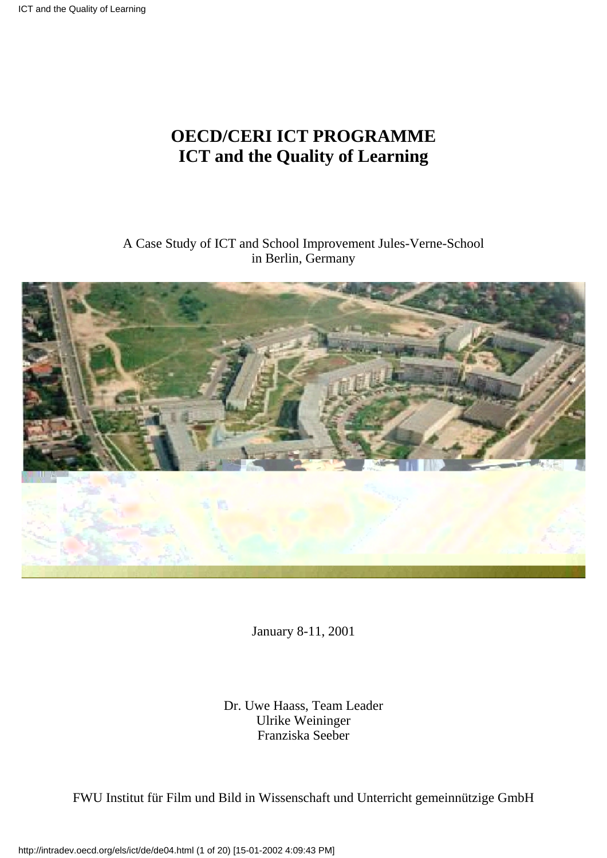# **OECD/CERI ICT PROGRAMME ICT and the Quality of Learning**

### A Case Study of ICT and School Improvement Jules-Verne-School in Berlin, Germany



January 8-11, 2001

Dr. Uwe Haass, Team Leader Ulrike Weininger Franziska Seeber

FWU Institut für Film und Bild in Wissenschaft und Unterricht gemeinnützige GmbH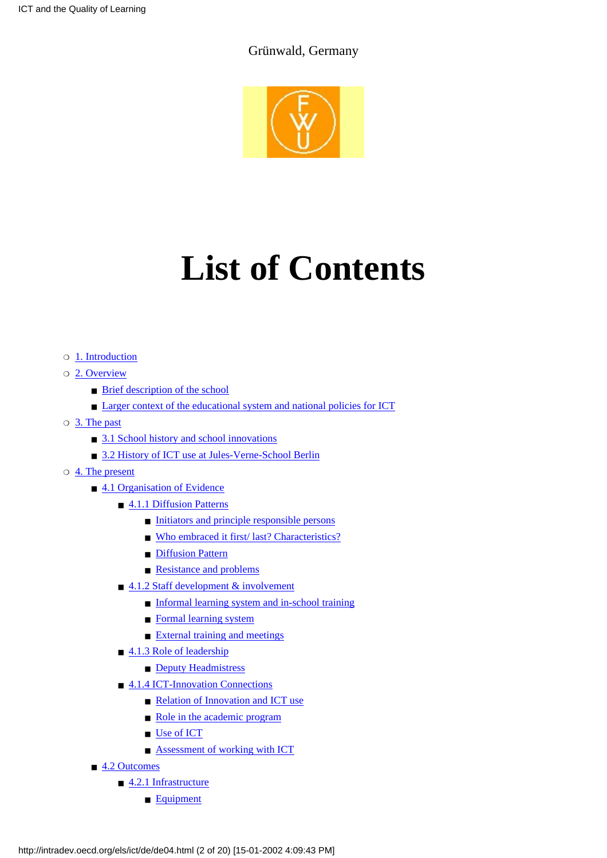### Grünwald, Germany



# **List of Contents**

- ❍ [1. Introduction](#page-2-0)
- O [2. Overview](#page-3-0)
	- [Brief description of the school](#page-3-1)
	- [Larger context of the educational system and national policies for ICT](#page-3-2)
- O [3. The past](#page-4-0)
	- [3.1 School history and school innovations](#page-4-1)
	- [3.2 History of ICT use at Jules-Verne-School Berlin](#page-4-2)
- $\circ$  [4. The present](#page-5-0)
	- [4.1 Organisation of Evidence](#page-5-1)
		- [4.1.1 Diffusion Patterns](#page-5-2)
			- [Initiators and principle responsible persons](#page-5-3)
			- [Who embraced it first/ last? Characteristics?](#page-5-4)
			- [Diffusion Pattern](#page-6-0)
			- [Resistance and problems](#page-6-1)
		- [4.1.2 Staff development & involvement](#page-6-2)
			- [Informal learning system and in-school training](#page-6-3)
			- [Formal learning system](#page-6-4)
			- [External training and meetings](#page-7-0)
		- [4.1.3 Role of leadership](#page-7-1)
			- [Deputy Headmistress](#page-7-2)
		- [4.1.4 ICT-Innovation Connections](#page-8-0)
			- [Relation of Innovation and ICT use](#page-8-1)
			- [Role in the academic program](#page-8-2)
			- [Use of ICT](#page-8-3)
			- **[Assessment of working with ICT](#page-9-0)**
	- [4.2 Outcomes](#page-9-1)
		- [4.2.1 Infrastructure](#page-9-2)
			- [Equipment](#page-9-3)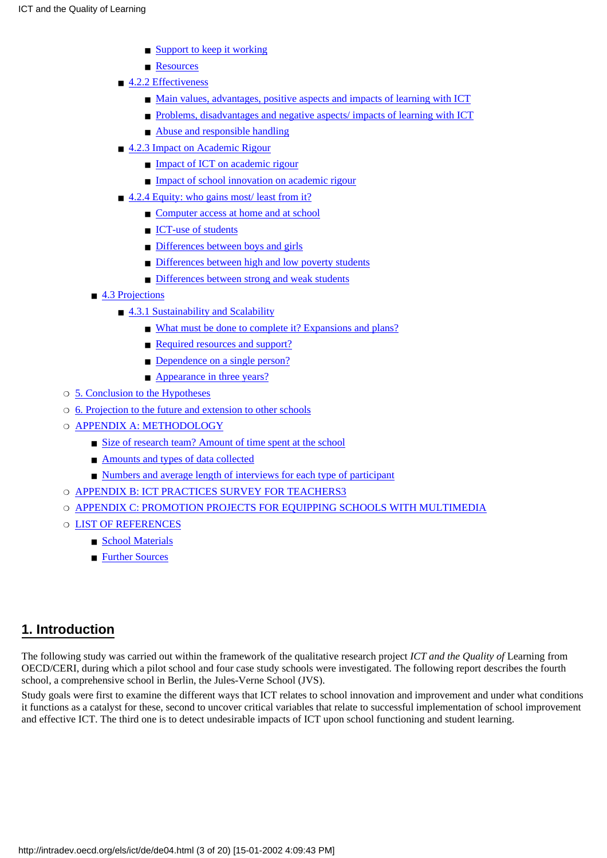- [Support to keep it working](#page-10-0)
- [Resources](#page-10-1)
- [4.2.2 Effectiveness](#page-11-0)
	- [Main values, advantages, positive aspects and impacts of learning with ICT](#page-11-1)
	- [Problems, disadvantages and negative aspects/ impacts of learning with ICT](#page-11-2)
	- [Abuse and responsible handling](#page-11-3)
- [4.2.3 Impact on Academic Rigour](#page-12-0)
	- [Impact of ICT on academic rigour](#page-12-1)
	- [Impact of school innovation on academic rigour](#page-12-2)
- [4.2.4 Equity: who gains most/ least from it?](#page-12-3)
	- [Computer access at home and at school](#page-12-4)
	- [ICT-use of students](#page-13-0)
	- [Differences between boys and girls](#page-13-1)
	- [Differences between high and low poverty students](#page-13-2)
	- [Differences between strong and weak students](#page-13-3)
- [4.3 Projections](#page-13-4)
	- [4.3.1 Sustainability and Scalability](#page-13-5)
		- [What must be done to complete it? Expansions and plans?](#page-13-6)
		- [Required resources and support?](#page-14-0)
		- [Dependence on a single person?](#page-14-1)
		- [Appearance in three years?](#page-14-2)
- ❍ [5. Conclusion to the Hypotheses](#page-14-3)
- ❍ [6. Projection to the future and extension to other schools](#page-15-0)
- O [APPENDIX A: METHODOLOGY](#page-16-0)
	- [Size of research team? Amount of time spent at the school](#page-16-1)
	- [Amounts and types of data collected](#page-16-2)
	- [Numbers and average length of interviews for each type of participant](#page-16-3)
- ❍ [APPENDIX B: ICT PRACTICES SURVEY FOR TEACHERS3](#page-16-4)
- ❍ [APPENDIX C: PROMOTION PROJECTS FOR EQUIPPING SCHOOLS WITH MULTIMEDIA](#page-18-0)
- $\circ$  [LIST OF REFERENCES](#page-19-0)
	- [School Materials](#page-19-1)
	- [Further Sources](#page-19-2)

### <span id="page-2-0"></span>**1. Introduction**

The following study was carried out within the framework of the qualitative research project *ICT and the Quality of* Learning from OECD/CERI, during which a pilot school and four case study schools were investigated. The following report describes the fourth school, a comprehensive school in Berlin, the Jules-Verne School (JVS).

Study goals were first to examine the different ways that ICT relates to school innovation and improvement and under what conditions it functions as a catalyst for these, second to uncover critical variables that relate to successful implementation of school improvement and effective ICT. The third one is to detect undesirable impacts of ICT upon school functioning and student learning.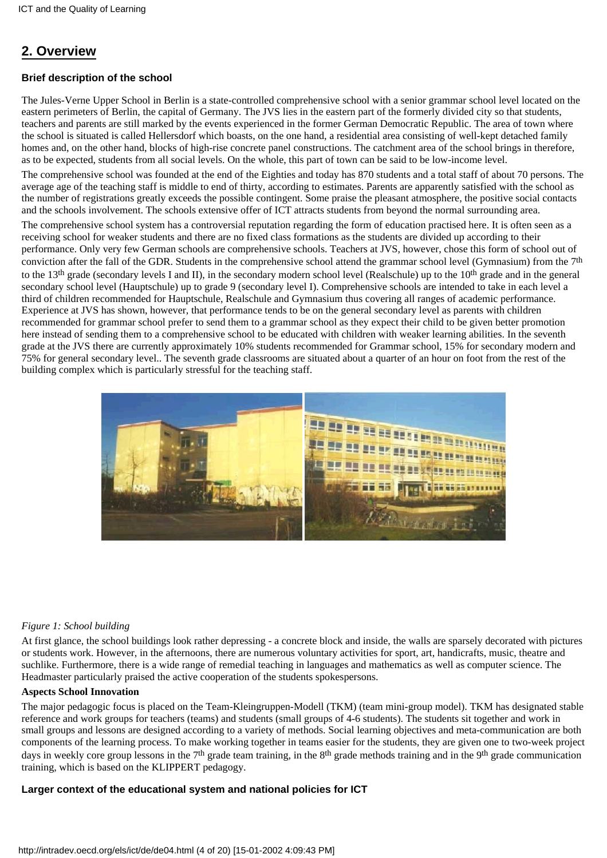# <span id="page-3-0"></span>**2. Overview**

#### <span id="page-3-1"></span>**Brief description of the school**

The Jules-Verne Upper School in Berlin is a state-controlled comprehensive school with a senior grammar school level located on the eastern perimeters of Berlin, the capital of Germany. The JVS lies in the eastern part of the formerly divided city so that students, teachers and parents are still marked by the events experienced in the former German Democratic Republic. The area of town where the school is situated is called Hellersdorf which boasts, on the one hand, a residential area consisting of well-kept detached family homes and, on the other hand, blocks of high-rise concrete panel constructions. The catchment area of the school brings in therefore, as to be expected, students from all social levels. On the whole, this part of town can be said to be low-income level.

The comprehensive school was founded at the end of the Eighties and today has 870 students and a total staff of about 70 persons. The average age of the teaching staff is middle to end of thirty, according to estimates. Parents are apparently satisfied with the school as the number of registrations greatly exceeds the possible contingent. Some praise the pleasant atmosphere, the positive social contacts and the schools involvement. The schools extensive offer of ICT attracts students from beyond the normal surrounding area.

The comprehensive school system has a controversial reputation regarding the form of education practised here. It is often seen as a receiving school for weaker students and there are no fixed class formations as the students are divided up according to their performance. Only very few German schools are comprehensive schools. Teachers at JVS, however, chose this form of school out of conviction after the fall of the GDR. Students in the comprehensive school attend the grammar school level (Gymnasium) from the 7th to the 13th grade (secondary levels I and II), in the secondary modern school level (Realschule) up to the 10th grade and in the general secondary school level (Hauptschule) up to grade 9 (secondary level I). Comprehensive schools are intended to take in each level a third of children recommended for Hauptschule, Realschule and Gymnasium thus covering all ranges of academic performance. Experience at JVS has shown, however, that performance tends to be on the general secondary level as parents with children recommended for grammar school prefer to send them to a grammar school as they expect their child to be given better promotion here instead of sending them to a comprehensive school to be educated with children with weaker learning abilities. In the seventh grade at the JVS there are currently approximately 10% students recommended for Grammar school, 15% for secondary modern and 75% for general secondary level.. The seventh grade classrooms are situated about a quarter of an hour on foot from the rest of the building complex which is particularly stressful for the teaching staff.



#### *Figure 1: School building*

At first glance, the school buildings look rather depressing - a concrete block and inside, the walls are sparsely decorated with pictures or students work. However, in the afternoons, there are numerous voluntary activities for sport, art, handicrafts, music, theatre and suchlike. Furthermore, there is a wide range of remedial teaching in languages and mathematics as well as computer science. The Headmaster particularly praised the active cooperation of the students spokespersons.

#### **Aspects School Innovation**

The major pedagogic focus is placed on the Team-Kleingruppen-Modell (TKM) (team mini-group model). TKM has designated stable reference and work groups for teachers (teams) and students (small groups of 4-6 students). The students sit together and work in small groups and lessons are designed according to a variety of methods. Social learning objectives and meta-communication are both components of the learning process. To make working together in teams easier for the students, they are given one to two-week project days in weekly core group lessons in the 7<sup>th</sup> grade team training, in the 8<sup>th</sup> grade methods training and in the 9<sup>th</sup> grade communication training, which is based on the KLIPPERT pedagogy.

#### <span id="page-3-2"></span>**Larger context of the educational system and national policies for ICT**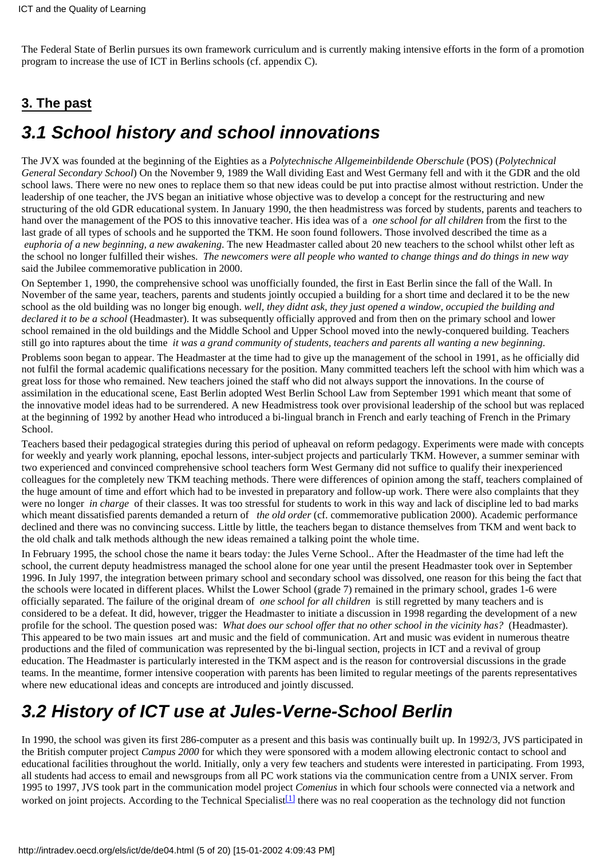The Federal State of Berlin pursues its own framework curriculum and is currently making intensive efforts in the form of a promotion program to increase the use of ICT in Berlins schools (cf. appendix C).

# <span id="page-4-0"></span>**3. The past**

# <span id="page-4-1"></span>*3.1 School history and school innovations*

The JVX was founded at the beginning of the Eighties as a *Polytechnische Allgemeinbildende Oberschule* (POS) (*Polytechnical General Secondary School*) On the November 9, 1989 the Wall dividing East and West Germany fell and with it the GDR and the old school laws. There were no new ones to replace them so that new ideas could be put into practise almost without restriction. Under the leadership of one teacher, the JVS began an initiative whose objective was to develop a concept for the restructuring and new structuring of the old GDR educational system. In January 1990, the then headmistress was forced by students, parents and teachers to hand over the management of the POS to this innovative teacher. His idea was of a *one school for all children* from the first to the last grade of all types of schools and he supported the TKM. He soon found followers. Those involved described the time as a *euphoria of a new beginning, a new awakening*. The new Headmaster called about 20 new teachers to the school whilst other left as the school no longer fulfilled their wishes. *The newcomers were all people who wanted to change things and do things in new way* said the Jubilee commemorative publication in 2000.

On September 1, 1990, the comprehensive school was unofficially founded, the first in East Berlin since the fall of the Wall. In November of the same year, teachers, parents and students jointly occupied a building for a short time and declared it to be the new school as the old building was no longer big enough. *well, they didnt ask, they just opened a window, occupied the building and declared it to be a school* (Headmaster). It was subsequently officially approved and from then on the primary school and lower school remained in the old buildings and the Middle School and Upper School moved into the newly-conquered building. Teachers still go into raptures about the time *it was a grand community of students, teachers and parents all wanting a new beginning*.

Problems soon began to appear. The Headmaster at the time had to give up the management of the school in 1991, as he officially did not fulfil the formal academic qualifications necessary for the position. Many committed teachers left the school with him which was a great loss for those who remained. New teachers joined the staff who did not always support the innovations. In the course of assimilation in the educational scene, East Berlin adopted West Berlin School Law from September 1991 which meant that some of the innovative model ideas had to be surrendered. A new Headmistress took over provisional leadership of the school but was replaced at the beginning of 1992 by another Head who introduced a bi-lingual branch in French and early teaching of French in the Primary School.

Teachers based their pedagogical strategies during this period of upheaval on reform pedagogy. Experiments were made with concepts for weekly and yearly work planning, epochal lessons, inter-subject projects and particularly TKM. However, a summer seminar with two experienced and convinced comprehensive school teachers form West Germany did not suffice to qualify their inexperienced colleagues for the completely new TKM teaching methods. There were differences of opinion among the staff, teachers complained of the huge amount of time and effort which had to be invested in preparatory and follow-up work. There were also complaints that they were no longer *in charge* of their classes. It was too stressful for students to work in this way and lack of discipline led to bad marks which meant dissatisfied parents demanded a return of *the old order* (cf. commemorative publication 2000). Academic performance declined and there was no convincing success. Little by little, the teachers began to distance themselves from TKM and went back to the old chalk and talk methods although the new ideas remained a talking point the whole time.

In February 1995, the school chose the name it bears today: the Jules Verne School.. After the Headmaster of the time had left the school, the current deputy headmistress managed the school alone for one year until the present Headmaster took over in September 1996. In July 1997, the integration between primary school and secondary school was dissolved, one reason for this being the fact that the schools were located in different places. Whilst the Lower School (grade 7) remained in the primary school, grades 1-6 were officially separated. The failure of the original dream of *one school for all children* is still regretted by many teachers and is considered to be a defeat. It did, however, trigger the Headmaster to initiate a discussion in 1998 regarding the development of a new profile for the school. The question posed was: *What does our school offer that no other school in the vicinity has?* (Headmaster). This appeared to be two main issues art and music and the field of communication. Art and music was evident in numerous theatre productions and the filed of communication was represented by the bi-lingual section, projects in ICT and a revival of group education. The Headmaster is particularly interested in the TKM aspect and is the reason for controversial discussions in the grade teams. In the meantime, former intensive cooperation with parents has been limited to regular meetings of the parents representatives where new educational ideas and concepts are introduced and jointly discussed.

# <span id="page-4-2"></span>*3.2 History of ICT use at Jules-Verne-School Berlin*

<span id="page-4-3"></span>In 1990, the school was given its first 286-computer as a present and this basis was continually built up. In 1992/3, JVS participated in the British computer project *Campus 2000* for which they were sponsored with a modem allowing electronic contact to school and educational facilities throughout the world. Initially, only a very few teachers and students were interested in participating. From 1993, all students had access to email and newsgroups from all PC work stations via the communication centre from a UNIX server. From 1995 to 1997, JVS took part in the communication model project *Comenius* in which four schools were connected via a network and worked on joint projects. According to the Technical Specialist<sup>[\[1\]](#page-19-3)</sup> there was no real cooperation as the technology did not function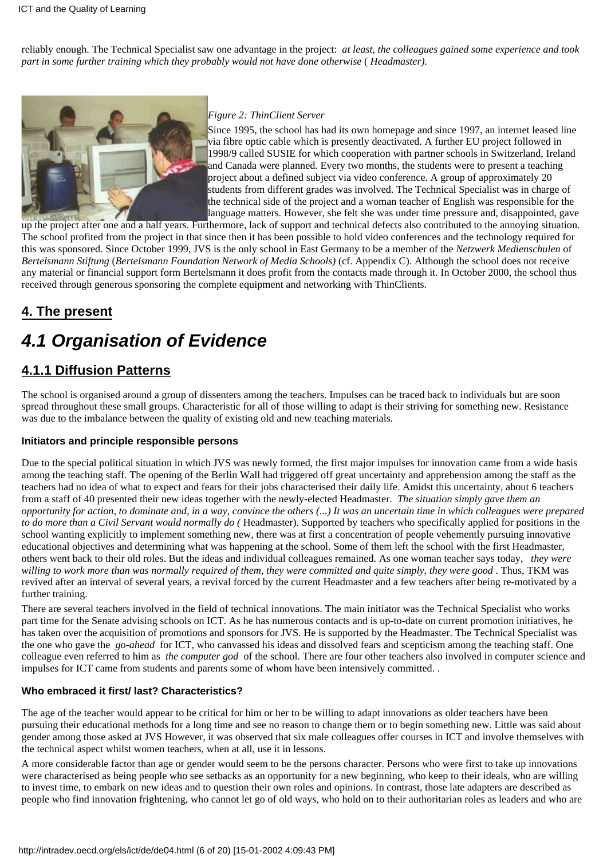reliably enough. The Technical Specialist saw one advantage in the project: *at least, the colleagues gained some experience and took part in some further training which they probably would not have done otherwise* (*Headmaster).*



#### *Figure 2: ThinClient Server*

Since 1995, the school has had its own homepage and since 1997, an internet leased line via fibre optic cable which is presently deactivated. A further EU project followed in 1998/9 called SUSIE for which cooperation with partner schools in Switzerland, Ireland and Canada were planned. Every two months, the students were to present a teaching project about a defined subject via video conference. A group of approximately 20 students from different grades was involved. The Technical Specialist was in charge of the technical side of the project and a woman teacher of English was responsible for the language matters. However, she felt she was under time pressure and, disappointed, gave

up the project after one and a half years. Furthermore, lack of support and technical defects also contributed to the annoying situation. The school profited from the project in that since then it has been possible to hold video conferences and the technology required for this was sponsored. Since October 1999, JVS is the only school in East Germany to be a member of the *Netzwerk Medienschulen* of *Bertelsmann Stiftung* (*Bertelsmann Foundation Network of Media Schools)* (cf. Appendix C). Although the school does not receive any material or financial support form Bertelsmann it does profit from the contacts made through it. In October 2000, the school thus received through generous sponsoring the complete equipment and networking with ThinClients.

# <span id="page-5-0"></span>**4. The present**

# <span id="page-5-1"></span>*4.1 Organisation of Evidence*

# <span id="page-5-2"></span>**4.1.1 Diffusion Patterns**

The school is organised around a group of dissenters among the teachers. Impulses can be traced back to individuals but are soon spread throughout these small groups. Characteristic for all of those willing to adapt is their striving for something new. Resistance was due to the imbalance between the quality of existing old and new teaching materials.

#### <span id="page-5-3"></span>**Initiators and principle responsible persons**

Due to the special political situation in which JVS was newly formed, the first major impulses for innovation came from a wide basis among the teaching staff. The opening of the Berlin Wall had triggered off great uncertainty and apprehension among the staff as the teachers had no idea of what to expect and fears for their jobs characterised their daily life. Amidst this uncertainty, about 6 teachers from a staff of 40 presented their new ideas together with the newly-elected Headmaster. *The situation simply gave them an opportunity for action, to dominate and, in a way, convince the others (...) It was an uncertain time in which colleagues were prepared to do more than a Civil Servant would normally do (*Headmaster). Supported by teachers who specifically applied for positions in the school wanting explicitly to implement something new, there was at first a concentration of people vehemently pursuing innovative educational objectives and determining what was happening at the school. Some of them left the school with the first Headmaster, others went back to their old roles. But the ideas and individual colleagues remained. As one woman teacher says today, *they were willing to work more than was normally required of them, they were committed and quite simply, they were good*. Thus, TKM was revived after an interval of several years, a revival forced by the current Headmaster and a few teachers after being re-motivated by a further training.

There are several teachers involved in the field of technical innovations. The main initiator was the Technical Specialist who works part time for the Senate advising schools on ICT. As he has numerous contacts and is up-to-date on current promotion initiatives, he has taken over the acquisition of promotions and sponsors for JVS. He is supported by the Headmaster. The Technical Specialist was the one who gave the *go-ahead* for ICT, who canvassed his ideas and dissolved fears and scepticism among the teaching staff. One colleague even referred to him as *the computer god* of the school. There are four other teachers also involved in computer science and impulses for ICT came from students and parents some of whom have been intensively committed. .

#### <span id="page-5-4"></span>**Who embraced it first/ last? Characteristics?**

The age of the teacher would appear to be critical for him or her to be willing to adapt innovations as older teachers have been pursuing their educational methods for a long time and see no reason to change them or to begin something new. Little was said about gender among those asked at JVS However, it was observed that six male colleagues offer courses in ICT and involve themselves with the technical aspect whilst women teachers, when at all, use it in lessons.

A more considerable factor than age or gender would seem to be the persons character. Persons who were first to take up innovations were characterised as being people who see setbacks as an opportunity for a new beginning, who keep to their ideals, who are willing to invest time, to embark on new ideas and to question their own roles and opinions. In contrast, those late adapters are described as people who find innovation frightening, who cannot let go of old ways, who hold on to their authoritarian roles as leaders and who are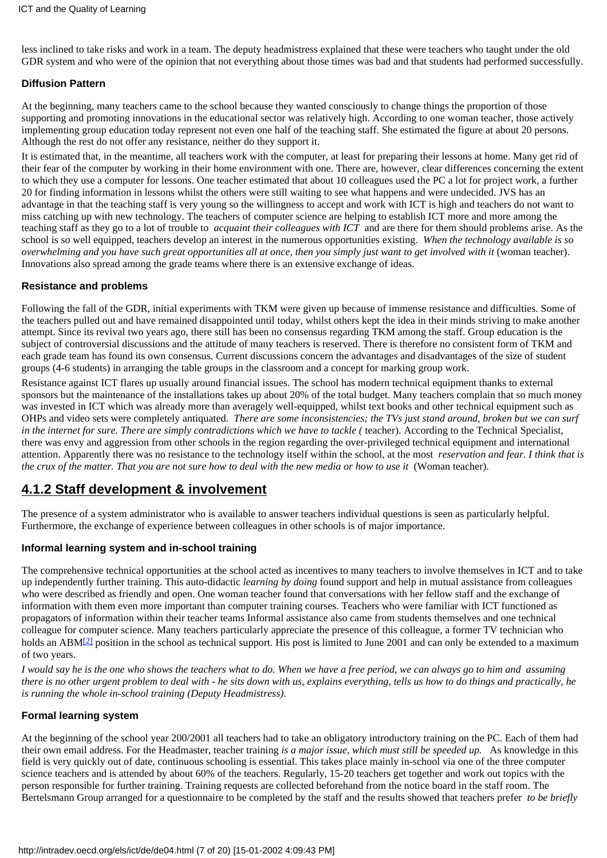less inclined to take risks and work in a team. The deputy headmistress explained that these were teachers who taught under the old GDR system and who were of the opinion that not everything about those times was bad and that students had performed successfully.

#### <span id="page-6-0"></span>**Diffusion Pattern**

At the beginning, many teachers came to the school because they wanted consciously to change things the proportion of those supporting and promoting innovations in the educational sector was relatively high. According to one woman teacher, those actively implementing group education today represent not even one half of the teaching staff. She estimated the figure at about 20 persons. Although the rest do not offer any resistance, neither do they support it.

It is estimated that, in the meantime, all teachers work with the computer, at least for preparing their lessons at home. Many get rid of their fear of the computer by working in their home environment with one. There are, however, clear differences concerning the extent to which they use a computer for lessons. One teacher estimated that about 10 colleagues used the PC a lot for project work, a further 20 for finding information in lessons whilst the others were still waiting to see what happens and were undecided. JVS has an advantage in that the teaching staff is very young so the willingness to accept and work with ICT is high and teachers do not want to miss catching up with new technology. The teachers of computer science are helping to establish ICT more and more among the teaching staff as they go to a lot of trouble to *acquaint their colleagues with ICT* and are there for them should problems arise. As the school is so well equipped, teachers develop an interest in the numerous opportunities existing. *When the technology available is so overwhelming and you have such great opportunities all at once, then you simply just want to get involved with it* (woman teacher). Innovations also spread among the grade teams where there is an extensive exchange of ideas.

#### <span id="page-6-1"></span>**Resistance and problems**

Following the fall of the GDR, initial experiments with TKM were given up because of immense resistance and difficulties. Some of the teachers pulled out and have remained disappointed until today, whilst others kept the idea in their minds striving to make another attempt. Since its revival two years ago, there still has been no consensus regarding TKM among the staff. Group education is the subject of controversial discussions and the attitude of many teachers is reserved. There is therefore no consistent form of TKM and each grade team has found its own consensus. Current discussions concern the advantages and disadvantages of the size of student groups (4-6 students) in arranging the table groups in the classroom and a concept for marking group work.

Resistance against ICT flares up usually around financial issues. The school has modern technical equipment thanks to external sponsors but the maintenance of the installations takes up about 20% of the total budget. Many teachers complain that so much money was invested in ICT which was already more than averagely well-equipped, whilst text books and other technical equipment such as OHPs and video sets were completely antiquated. *There are some inconsistencies; the TVs just stand around, broken but we can surf in the internet for sure. There are simply contradictions which we have to tackle (*teacher). According to the Technical Specialist, there was envy and aggression from other schools in the region regarding the over-privileged technical equipment and international attention. Apparently there was no resistance to the technology itself within the school, at the most *reservation and fear. I think that is the crux of the matter. That you are not sure how to deal with the new media or how to use it* (Woman teacher).

### <span id="page-6-2"></span>**4.1.2 Staff development & involvement**

The presence of a system administrator who is available to answer teachers individual questions is seen as particularly helpful. Furthermore, the exchange of experience between colleagues in other schools is of major importance.

#### <span id="page-6-3"></span>**Informal learning system and in-school training**

The comprehensive technical opportunities at the school acted as incentives to many teachers to involve themselves in ICT and to take up independently further training. This auto-didactic *learning by doing* found support and help in mutual assistance from colleagues who were described as friendly and open. One woman teacher found that conversations with her fellow staff and the exchange of information with them even more important than computer training courses. Teachers who were familiar with ICT functioned as propagators of information within their teacher teams Informal assistance also came from students themselves and one technical colleague for computer science. Many teachers particularly appreciate the presence of this colleague, a former TV technician who holds an ABM<sup>[2]</sup> position in the school as technical support. His post is limited to June 2001 and can only be extended to a maximum of two years.

<span id="page-6-5"></span>*I would say he is the one who shows the teachers what to do. When we have a free period, we can always go to him and assuming there is no other urgent problem to deal with - he sits down with us, explains everything, tells us how to do things and practically, he is running the whole in-school training (Deputy Headmistress).*

#### <span id="page-6-4"></span>**Formal learning system**

At the beginning of the school year 200/2001 all teachers had to take an obligatory introductory training on the PC. Each of them had their own email address. For the Headmaster, teacher training *is a major issue, which must still be speeded up.* As knowledge in this field is very quickly out of date, continuous schooling is essential. This takes place mainly in-school via one of the three computer science teachers and is attended by about 60% of the teachers. Regularly, 15-20 teachers get together and work out topics with the person responsible for further training. Training requests are collected beforehand from the notice board in the staff room. The Bertelsmann Group arranged for a questionnaire to be completed by the staff and the results showed that teachers prefer *to be briefly*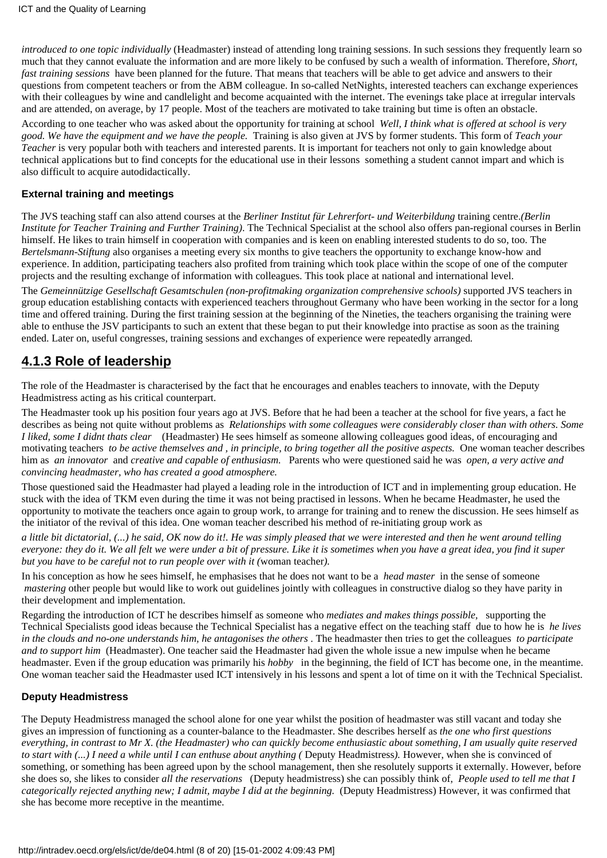*introduced to one topic individually* (Headmaster) instead of attending long training sessions. In such sessions they frequently learn so much that they cannot evaluate the information and are more likely to be confused by such a wealth of information. Therefore, *Short, fast training sessions* have been planned for the future. That means that teachers will be able to get advice and answers to their questions from competent teachers or from the ABM colleague. In so-called NetNights, interested teachers can exchange experiences with their colleagues by wine and candlelight and become acquainted with the internet. The evenings take place at irregular intervals and are attended, on average, by 17 people. Most of the teachers are motivated to take training but time is often an obstacle.

According to one teacher who was asked about the opportunity for training at school *Well, I think what is offered at school is very good. We have the equipment and we have the people.* Training is also given at JVS by former students. This form of *Teach your Teacher* is very popular both with teachers and interested parents. It is important for teachers not only to gain knowledge about technical applications but to find concepts for the educational use in their lessons something a student cannot impart and which is also difficult to acquire autodidactically.

#### <span id="page-7-0"></span>**External training and meetings**

The JVS teaching staff can also attend courses at the *Berliner Institut für Lehrerfort- und Weiterbildung* training centre.*(Berlin Institute for Teacher Training and Further Training)*. The Technical Specialist at the school also offers pan-regional courses in Berlin himself. He likes to train himself in cooperation with companies and is keen on enabling interested students to do so, too. The *Bertelsmann*-*Stiftung* also organises a meeting every six months to give teachers the opportunity to exchange know-how and experience. In addition, participating teachers also profited from training which took place within the scope of one of the computer projects and the resulting exchange of information with colleagues. This took place at national and international level.

The *Gemeinnützige Gesellschaft Gesamtschulen (non-profitmaking organization comprehensive schools)* supported JVS teachers in group education establishing contacts with experienced teachers throughout Germany who have been working in the sector for a long time and offered training. During the first training session at the beginning of the Nineties, the teachers organising the training were able to enthuse the JSV participants to such an extent that these began to put their knowledge into practise as soon as the training ended. Later on, useful congresses, training sessions and exchanges of experience were repeatedly arranged*.*

### <span id="page-7-1"></span>**4.1.3 Role of leadership**

The role of the Headmaster is characterised by the fact that he encourages and enables teachers to innovate, with the Deputy Headmistress acting as his critical counterpart.

The Headmaster took up his position four years ago at JVS. Before that he had been a teacher at the school for five years, a fact he describes as being not quite without problems as *Relationships with some colleagues were considerably closer than with others. Some I liked, some I didnt thats clear* (Headmaster) He sees himself as someone allowing colleagues good ideas, of encouraging and motivating teachers *to be active themselves and , in principle, to bring together all the positive aspects.* One woman teacher describes him as *an innovator* and *creative and capable of enthusiasm.* Parents who were questioned said he was *open, a very active and convincing headmaster, who has created a good atmosphere.*

Those questioned said the Headmaster had played a leading role in the introduction of ICT and in implementing group education. He stuck with the idea of TKM even during the time it was not being practised in lessons. When he became Headmaster, he used the opportunity to motivate the teachers once again to group work, to arrange for training and to renew the discussion. He sees himself as the initiator of the revival of this idea. One woman teacher described his method of re-initiating group work as

*a little bit dictatorial, (...) he said, OK now do it!. He was simply pleased that we were interested and then he went around telling everyone: they do it. We all felt we were under a bit of pressure. Like it is sometimes when you have a great idea, you find it super but you have to be careful not to run people over with it (*woman teacher*).*

In his conception as how he sees himself, he emphasises that he does not want to be a *head master* in the sense of someone *mastering* other people but would like to work out guidelines jointly with colleagues in constructive dialog so they have parity in their development and implementation.

Regarding the introduction of ICT he describes himself as someone who *mediates and makes things possible,* supporting the Technical Specialists good ideas because the Technical Specialist has a negative effect on the teaching staff due to how he is *he lives in the clouds and no-one understands him, he antagonises the others*. The headmaster then tries to get the colleagues *to participate and to support him* (Headmaster). One teacher said the Headmaster had given the whole issue a new impulse when he became headmaster. Even if the group education was primarily his *hobby* in the beginning, the field of ICT has become one, in the meantime. One woman teacher said the Headmaster used ICT intensively in his lessons and spent a lot of time on it with the Technical Specialist.

#### <span id="page-7-2"></span>**Deputy Headmistress**

The Deputy Headmistress managed the school alone for one year whilst the position of headmaster was still vacant and today she gives an impression of functioning as a counter-balance to the Headmaster. She describes herself as *the one who first questions everything, in contrast to Mr X. (the Headmaster) who can quickly become enthusiastic about something, I am usually quite reserved to start with (...) I need a while until I can enthuse about anything (*Deputy Headmistress*).* However, when she is convinced of something, or something has been agreed upon by the school management, then she resolutely supports it externally. However, before she does so, she likes to consider *all the reservations* (Deputy headmistress) she can possibly think of, *People used to tell me that I categorically rejected anything new; I admit, maybe I did at the beginning.* (Deputy Headmistress) However, it was confirmed that she has become more receptive in the meantime.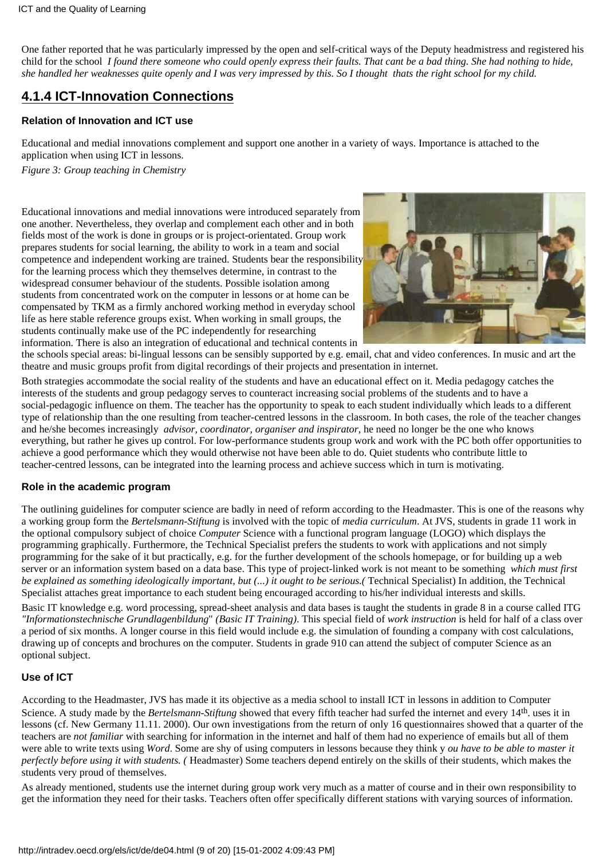One father reported that he was particularly impressed by the open and self-critical ways of the Deputy headmistress and registered his child for the school *I found there someone who could openly express their faults. That cant be a bad thing. She had nothing to hide, she handled her weaknesses quite openly and I was very impressed by this. So I thought thats the right school for my child.*

# <span id="page-8-0"></span>**4.1.4 ICT-Innovation Connections**

#### <span id="page-8-1"></span>**Relation of Innovation and ICT use**

Educational and medial innovations complement and support one another in a variety of ways. Importance is attached to the application when using ICT in lessons. *Figure 3: Group teaching in Chemistry*

Educational innovations and medial innovations were introduced separately from one another. Nevertheless, they overlap and complement each other and in both fields most of the work is done in groups or is project-orientated. Group work prepares students for social learning, the ability to work in a team and social competence and independent working are trained. Students bear the responsibility for the learning process which they themselves determine, in contrast to the widespread consumer behaviour of the students. Possible isolation among students from concentrated work on the computer in lessons or at home can be compensated by TKM as a firmly anchored working method in everyday school life as here stable reference groups exist. When working in small groups, the students continually make use of the PC independently for researching information. There is also an integration of educational and technical contents in



the schools special areas: bi-lingual lessons can be sensibly supported by e.g. email, chat and video conferences. In music and art the theatre and music groups profit from digital recordings of their projects and presentation in internet.

Both strategies accommodate the social reality of the students and have an educational effect on it. Media pedagogy catches the interests of the students and group pedagogy serves to counteract increasing social problems of the students and to have a social-pedagogic influence on them. The teacher has the opportunity to speak to each student individually which leads to a different type of relationship than the one resulting from teacher-centred lessons in the classroom. In both cases, the role of the teacher changes and he/she becomes increasingly *advisor, coordinator, organiser and inspirator*, he need no longer be the one who knows everything, but rather he gives up control. For low-performance students group work and work with the PC both offer opportunities to achieve a good performance which they would otherwise not have been able to do. Quiet students who contribute little to teacher-centred lessons, can be integrated into the learning process and achieve success which in turn is motivating.

#### <span id="page-8-2"></span>**Role in the academic program**

The outlining guidelines for computer science are badly in need of reform according to the Headmaster. This is one of the reasons why a working group form the *Bertelsmann-Stiftung* is involved with the topic of *media curriculum*. At JVS, students in grade 11 work in the optional compulsory subject of choice *Computer* Science with a functional program language (LOGO) which displays the programming graphically. Furthermore, the Technical Specialist prefers the students to work with applications and not simply programming for the sake of it but practically, e.g. for the further development of the schools homepage, or for building up a web server or an information system based on a data base. This type of project-linked work is not meant to be something *which must first be explained as something ideologically important, but (...) it ought to be serious.(*Technical Specialist) In addition, the Technical Specialist attaches great importance to each student being encouraged according to his/her individual interests and skills.

Basic IT knowledge e.g. word processing, spread-sheet analysis and data bases is taught the students in grade 8 in a course called ITG *"Informationstechnische Grundlagenbildung*" *(Basic IT Training)*. This special field of *work instruction* is held for half of a class over a period of six months. A longer course in this field would include e.g. the simulation of founding a company with cost calculations, drawing up of concepts and brochures on the computer. Students in grade 910 can attend the subject of computer Science as an optional subject.

#### <span id="page-8-3"></span>**Use of ICT**

According to the Headmaster, JVS has made it its objective as a media school to install ICT in lessons in addition to Computer Science. A study made by the *Bertelsmann-Stiftung* showed that every fifth teacher had surfed the internet and every 14th. uses it in lessons (cf. New Germany 11.11. 2000). Our own investigations from the return of only 16 questionnaires showed that a quarter of the teachers are *not familiar* with searching for information in the internet and half of them had no experience of emails but all of them were able to write texts using *Word*. Some are shy of using computers in lessons because they think y*ou have to be able to master it perfectly before using it with students. (*Headmaster) Some teachers depend entirely on the skills of their students, which makes the students very proud of themselves.

As already mentioned, students use the internet during group work very much as a matter of course and in their own responsibility to get the information they need for their tasks. Teachers often offer specifically different stations with varying sources of information.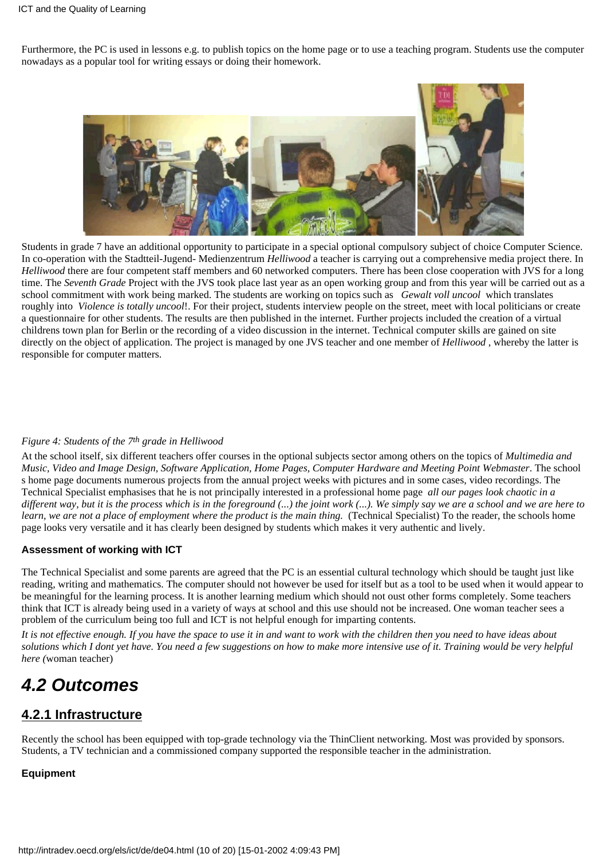Furthermore, the PC is used in lessons e.g. to publish topics on the home page or to use a teaching program. Students use the computer nowadays as a popular tool for writing essays or doing their homework.



Students in grade 7 have an additional opportunity to participate in a special optional compulsory subject of choice Computer Science. In co-operation with the Stadtteil-Jugend- Medienzentrum *Helliwood* a teacher is carrying out a comprehensive media project there. In *Helliwood* there are four competent staff members and 60 networked computers. There has been close cooperation with JVS for a long time. The *Seventh Grade* Project with the JVS took place last year as an open working group and from this year will be carried out as a school commitment with work being marked. The students are working on topics such as *Gewalt voll uncool* which translates roughly into *Violence is totally uncool*!. For their project, students interview people on the street, meet with local politicians or create a questionnaire for other students. The results are then published in the internet. Further projects included the creation of a virtual childrens town plan for Berlin or the recording of a video discussion in the internet. Technical computer skills are gained on site directly on the object of application. The project is managed by one JVS teacher and one member of *Helliwood* , whereby the latter is responsible for computer matters.

#### *Figure 4: Students of the 7th grade in Helliwood*

At the school itself, six different teachers offer courses in the optional subjects sector among others on the topics of *Multimedia and Music, Video and Image Design, Software Application, Home Pages, Computer Hardware and Meeting Point Webmaster*. The school s home page documents numerous projects from the annual project weeks with pictures and in some cases, video recordings. The Technical Specialist emphasises that he is not principally interested in a professional home page *all our pages look chaotic in a different way, but it is the process which is in the foreground (...) the joint work (...). We simply say we are a school and we are here to learn, we are not a place of employment where the product is the main thing.* (Technical Specialist) To the reader, the schools home page looks very versatile and it has clearly been designed by students which makes it very authentic and lively.

#### <span id="page-9-0"></span>**Assessment of working with ICT**

The Technical Specialist and some parents are agreed that the PC is an essential cultural technology which should be taught just like reading, writing and mathematics. The computer should not however be used for itself but as a tool to be used when it would appear to be meaningful for the learning process. It is another learning medium which should not oust other forms completely. Some teachers think that ICT is already being used in a variety of ways at school and this use should not be increased. One woman teacher sees a problem of the curriculum being too full and ICT is not helpful enough for imparting contents.

*It is not effective enough. If you have the space to use it in and want to work with the children then you need to have ideas about solutions which I dont yet have. You need a few suggestions on how to make more intensive use of it. Training would be very helpful here (*woman teacher)

# <span id="page-9-1"></span>*4.2 Outcomes*

# <span id="page-9-2"></span>**4.2.1 Infrastructure**

Recently the school has been equipped with top-grade technology via the ThinClient networking. Most was provided by sponsors. Students, a TV technician and a commissioned company supported the responsible teacher in the administration.

#### <span id="page-9-3"></span>**Equipment**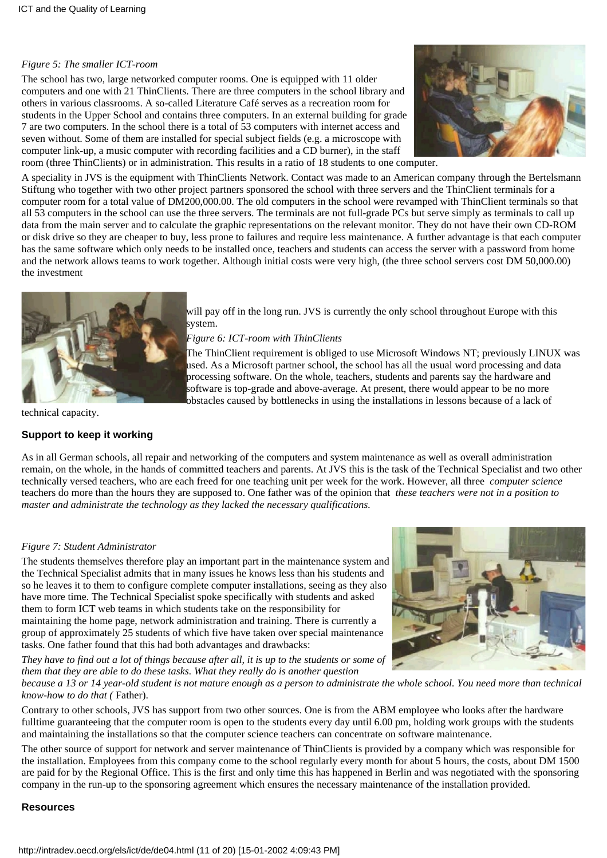#### *Figure 5: The smaller ICT-room*

The school has two, large networked computer rooms. One is equipped with 11 older computers and one with 21 ThinClients. There are three computers in the school library and others in various classrooms. A so-called Literature Café serves as a recreation room for students in the Upper School and contains three computers. In an external building for grade 7 are two computers. In the school there is a total of 53 computers with internet access and seven without. Some of them are installed for special subject fields (e.g. a microscope with computer link-up, a music computer with recording facilities and a CD burner), in the staff room (three ThinClients) or in administration. This results in a ratio of 18 students to one computer.



A speciality in JVS is the equipment with ThinClients Network. Contact was made to an American company through the Bertelsmann Stiftung who together with two other project partners sponsored the school with three servers and the ThinClient terminals for a computer room for a total value of DM200,000.00. The old computers in the school were revamped with ThinClient terminals so that all 53 computers in the school can use the three servers. The terminals are not full-grade PCs but serve simply as terminals to call up data from the main server and to calculate the graphic representations on the relevant monitor. They do not have their own CD-ROM or disk drive so they are cheaper to buy, less prone to failures and require less maintenance. A further advantage is that each computer has the same software which only needs to be installed once, teachers and students can access the server with a password from home and the network allows teams to work together. Although initial costs were very high, (the three school servers cost DM 50,000.00) the investment



will pay off in the long run. JVS is currently the only school throughout Europe with this system.

*Figure 6: ICT-room with ThinClients*

The ThinClient requirement is obliged to use Microsoft Windows NT; previously LINUX was used. As a Microsoft partner school, the school has all the usual word processing and data processing software. On the whole, teachers, students and parents say the hardware and software is top-grade and above-average. At present, there would appear to be no more obstacles caused by bottlenecks in using the installations in lessons because of a lack of

technical capacity.

#### <span id="page-10-0"></span>**Support to keep it working**

As in all German schools, all repair and networking of the computers and system maintenance as well as overall administration remain, on the whole, in the hands of committed teachers and parents. At JVS this is the task of the Technical Specialist and two other technically versed teachers, who are each freed for one teaching unit per week for the work. However, all three *computer science* teachers do more than the hours they are supposed to. One father was of the opinion that *these teachers were not in a position to master and administrate the technology as they lacked the necessary qualifications.*

#### *Figure 7: Student Administrator*

The students themselves therefore play an important part in the maintenance system and the Technical Specialist admits that in many issues he knows less than his students and so he leaves it to them to configure complete computer installations, seeing as they also have more time. The Technical Specialist spoke specifically with students and asked them to form ICT web teams in which students take on the responsibility for maintaining the home page, network administration and training. There is currently a group of approximately 25 students of which five have taken over special maintenance tasks. One father found that this had both advantages and drawbacks:

*They have to find out a lot of things because after all, it is up to the students or some of them that they are able to do these tasks. What they really do is another question*



*because a 13 or 14 year-old student is not mature enough as a person to administrate the whole school. You need more than technical know-how to do that (*Father).

Contrary to other schools, JVS has support from two other sources. One is from the ABM employee who looks after the hardware fulltime guaranteeing that the computer room is open to the students every day until 6.00 pm, holding work groups with the students and maintaining the installations so that the computer science teachers can concentrate on software maintenance.

The other source of support for network and server maintenance of ThinClients is provided by a company which was responsible for the installation. Employees from this company come to the school regularly every month for about 5 hours, the costs, about DM 1500 are paid for by the Regional Office. This is the first and only time this has happened in Berlin and was negotiated with the sponsoring company in the run-up to the sponsoring agreement which ensures the necessary maintenance of the installation provided.

#### <span id="page-10-1"></span>**Resources**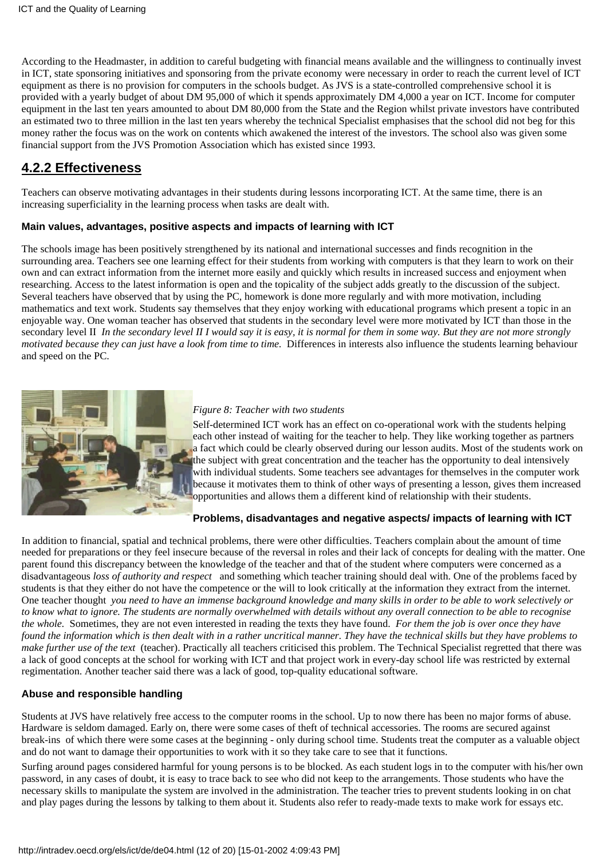According to the Headmaster, in addition to careful budgeting with financial means available and the willingness to continually invest in ICT, state sponsoring initiatives and sponsoring from the private economy were necessary in order to reach the current level of ICT equipment as there is no provision for computers in the schools budget. As JVS is a state-controlled comprehensive school it is provided with a yearly budget of about DM 95,000 of which it spends approximately DM 4,000 a year on ICT. Income for computer equipment in the last ten years amounted to about DM 80,000 from the State and the Region whilst private investors have contributed an estimated two to three million in the last ten years whereby the technical Specialist emphasises that the school did not beg for this money rather the focus was on the work on contents which awakened the interest of the investors. The school also was given some financial support from the JVS Promotion Association which has existed since 1993.

# <span id="page-11-0"></span>**4.2.2 Effectiveness**

Teachers can observe motivating advantages in their students during lessons incorporating ICT. At the same time, there is an increasing superficiality in the learning process when tasks are dealt with.

#### <span id="page-11-1"></span>**Main values, advantages, positive aspects and impacts of learning with ICT**

The schools image has been positively strengthened by its national and international successes and finds recognition in the surrounding area. Teachers see one learning effect for their students from working with computers is that they learn to work on their own and can extract information from the internet more easily and quickly which results in increased success and enjoyment when researching. Access to the latest information is open and the topicality of the subject adds greatly to the discussion of the subject. Several teachers have observed that by using the PC, homework is done more regularly and with more motivation, including mathematics and text work. Students say themselves that they enjoy working with educational programs which present a topic in an enjoyable way. One woman teacher has observed that students in the secondary level were more motivated by ICT than those in the secondary level II *In the secondary level II I would say it is easy, it is normal for them in some way. But they are not more strongly motivated because they can just have a look from time to time*. Differences in interests also influence the student s learning behaviour and speed on the PC.



#### *Figure 8: Teacher with two students*

Self-determined ICT work has an effect on co-operational work with the students helping each other instead of waiting for the teacher to help. They like working together as partners a fact which could be clearly observed during our lesson audits. Most of the students work on the subject with great concentration and the teacher has the opportunity to deal intensively with individual students. Some teachers see advantages for themselves in the computer work because it motivates them to think of other ways of presenting a lesson, gives them increased opportunities and allows them a different kind of relationship with their students.

#### **Problems, disadvantages and negative aspects/ impacts of learning with ICT**

<span id="page-11-2"></span>In addition to financial, spatial and technical problems, there were other difficulties. Teachers complain about the amount of time needed for preparations or they feel insecure because of the reversal in roles and their lack of concepts for dealing with the matter. One parent found this discrepancy between the knowledge of the teacher and that of the student where computers were concerned as a disadvantageous *loss of authority and respect* and something which teacher training should deal with. One of the problems faced by students is that they either do not have the competence or the will to look critically at the information they extract from the internet. One teacher thought  *you need to have an immense background knowledge and many skills in order to be able to work selectively or to know what to ignore. The students are normally overwhelmed with details without any overall connection to be able to recognise the whole.* Sometimes, they are not even interested in reading the texts they have found. *For them the job is over once they have found the information which is then dealt with in a rather uncritical manner. They have the technical skills but they have problems to make further use of the text* (teacher). Practically all teachers criticised this problem. The Technical Specialist regretted that there was a lack of good concepts at the school for working with ICT and that project work in every-day school life was restricted by external regimentation. Another teacher said there was a lack of good, top-quality educational software.

#### <span id="page-11-3"></span>**Abuse and responsible handling**

Students at JVS have relatively free access to the computer rooms in the school. Up to now there has been no major forms of abuse. Hardware is seldom damaged. Early on, there were some cases of theft of technical accessories. The rooms are secured against break-ins of which there were some cases at the beginning - only during school time. Students treat the computer as a valuable object and do not want to damage their opportunities to work with it so they take care to see that it functions.

Surfing around pages considered harmful for young persons is to be blocked. As each student logs in to the computer with his/her own password, in any cases of doubt, it is easy to trace back to see who did not keep to the arrangements. Those students who have the necessary skills to manipulate the system are involved in the administration. The teacher tries to prevent students looking in on chat and play pages during the lessons by talking to them about it. Students also refer to ready-made texts to make work for essays etc.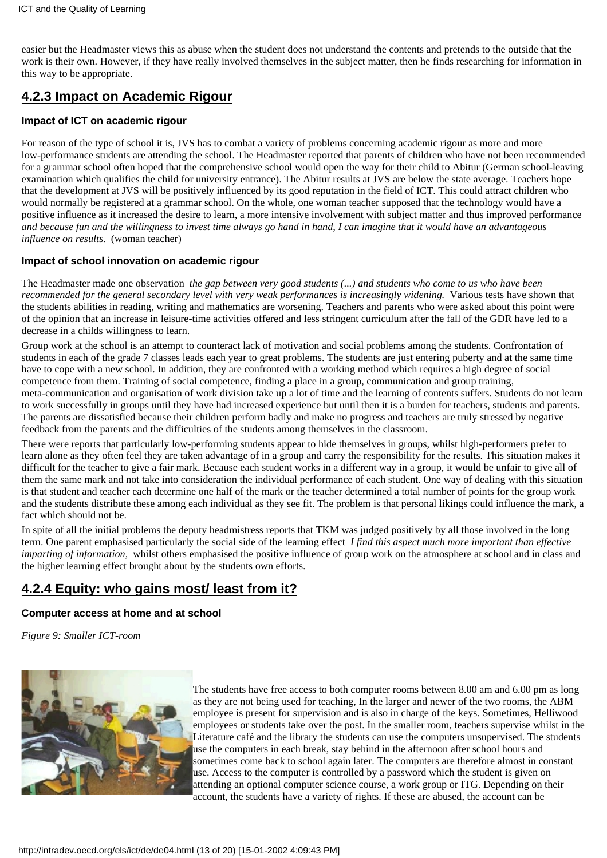easier but the Headmaster views this as abuse when the student does not understand the contents and pretends to the outside that the work is their own. However, if they have really involved themselves in the subject matter, then he finds researching for information in this way to be appropriate.

# <span id="page-12-0"></span>**4.2.3 Impact on Academic Rigour**

#### <span id="page-12-1"></span>**Impact of ICT on academic rigour**

For reason of the type of school it is, JVS has to combat a variety of problems concerning academic rigour as more and more low-performance students are attending the school. The Headmaster reported that parents of children who have not been recommended for a grammar school often hoped that the comprehensive school would open the way for their child to Abitur (German school-leaving examination which qualifies the child for university entrance). The Abitur results at JVS are below the state average. Teachers hope that the development at JVS will be positively influenced by its good reputation in the field of ICT. This could attract children who would normally be registered at a grammar school. On the whole, one woman teacher supposed that the technology would have a positive influence as it increased the desire to learn, a more intensive involvement with subject matter and thus improved performance *and because fun and the willingness to invest time always go hand in hand, I can imagine that it would have an advantageous influence on results.* (woman teacher)

#### <span id="page-12-2"></span>**Impact of school innovation on academic rigour**

The Headmaster made one observation *the gap between very good students (...) and students who come to us who have been recommended for the general secondary level with very weak performances is increasingly widening.* Various tests have shown that the students abilities in reading, writing and mathematics are worsening. Teachers and parents who were asked about this point were of the opinion that an increase in leisure-time activities offered and less stringent curriculum after the fall of the GDR have led to a decrease in a child s willingness to learn.

Group work at the school is an attempt to counteract lack of motivation and social problems among the students. Confrontation of students in each of the grade 7 classes leads each year to great problems. The students are just entering puberty and at the same time have to cope with a new school. In addition, they are confronted with a working method which requires a high degree of social competence from them. Training of social competence, finding a place in a group, communication and group training, meta-communication and organisation of work division take up a lot of time and the learning of contents suffers. Students do not learn to work successfully in groups until they have had increased experience but until then it is a burden for teachers, students and parents. The parents are dissatisfied because their children perform badly and make no progress and teachers are truly stressed by negative feedback from the parents and the difficulties of the students among themselves in the classroom.

There were reports that particularly low-performing students appear to hide themselves in groups, whilst high-performers prefer to learn alone as they often feel they are taken advantage of in a group and carry the responsibility for the results. This situation makes it difficult for the teacher to give a fair mark. Because each student works in a different way in a group, it would be unfair to give all of them the same mark and not take into consideration the individual performance of each student. One way of dealing with this situation is that student and teacher each determine one half of the mark or the teacher determined a total number of points for the group work and the students distribute these among each individual as they see fit. The problem is that personal likings could influence the mark, a fact which should not be.

In spite of all the initial problems the deputy headmistress reports that TKM was judged positively by all those involved in the long term. One parent emphasised particularly the social side of the learning effect *I find this aspect much more important than effective imparting of information*, whilst others emphasised the positive influence of group work on the atmosphere at school and in class and the higher learning effect brought about by the student s own efforts.

# <span id="page-12-3"></span>**4.2.4 Equity: who gains most/ least from it?**

#### <span id="page-12-4"></span>**Computer access at home and at school**

*Figure 9: Smaller ICT-room*



The students have free access to both computer rooms between 8.00 am and 6.00 pm as long as they are not being used for teaching, In the larger and newer of the two rooms, the ABM employee is present for supervision and is also in charge of the keys. Sometimes, Helliwood employees or students take over the post. In the smaller room, teachers supervise whilst in the Literature café and the library the students can use the computers unsupervised. The students use the computers in each break, stay behind in the afternoon after school hours and sometimes come back to school again later. The computers are therefore almost in constant use. Access to the computer is controlled by a password which the student is given on attending an optional computer science course, a work group or ITG. Depending on their account, the students have a variety of rights. If these are abused, the account can be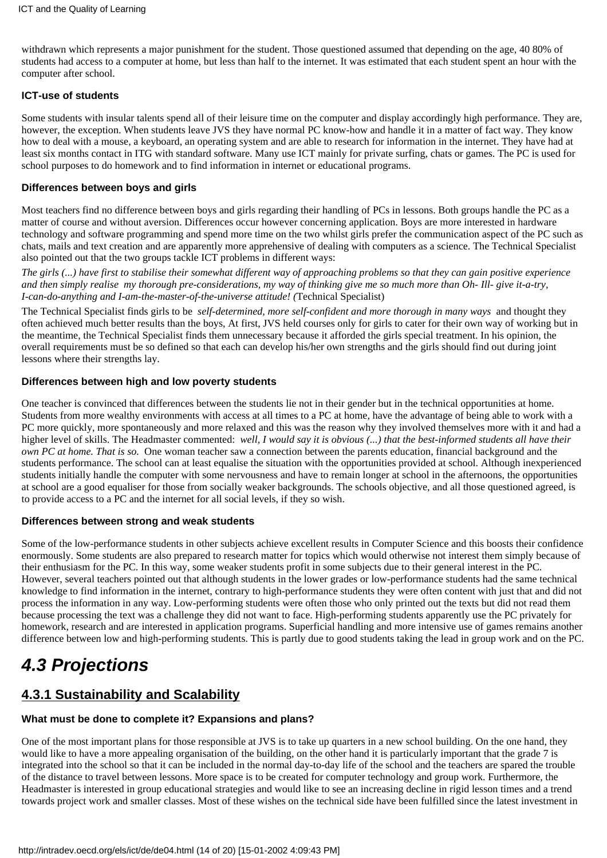withdrawn which represents a major punishment for the student. Those questioned assumed that depending on the age, 40 80% of students had access to a computer at home, but less than half to the internet. It was estimated that each student spent an hour with the computer after school.

#### <span id="page-13-0"></span>**ICT-use of students**

Some students with insular talents spend all of their leisure time on the computer and display accordingly high performance. They are, however, the exception. When students leave JVS they have normal PC know-how and handle it in a matter of fact way. They know how to deal with a mouse, a keyboard, an operating system and are able to research for information in the internet. They have had at least six months contact in ITG with standard software. Many use ICT mainly for private surfing, chats or games. The PC is used for school purposes to do homework and to find information in internet or educational programs.

#### <span id="page-13-1"></span>**Differences between boys and girls**

Most teachers find no difference between boys and girls regarding their handling of PCs in lessons. Both groups handle the PC as a matter of course and without aversion. Differences occur however concerning application. Boys are more interested in hardware technology and software programming and spend more time on the two whilst girls prefer the communication aspect of the PC such as chats, mails and text creation and are apparently more apprehensive of dealing with computers as a science. The Technical Specialist also pointed out that the two groups tackle ICT problems in different ways:

*The girls (...) have first to stabilise their somewhat different way of approaching problems so that they can gain positive experience and then simply realise my thorough pre-considerations, my way of thinking give me so much more than Oh- Ill- give it-a-try, I-can-do-anything and I-am-the-master-of-the-universe attitude! (*Technical Specialist)

The Technical Specialist finds girls to be *self-determined, more self-confident and more thorough in many ways* and thought they often achieved much better results than the boys, At first, JVS held courses only for girls to cater for their own way of working but in the meantime, the Technical Specialist finds them unnecessary because it afforded the girls special treatment. In his opinion, the overall requirements must be so defined so that each can develop his/her own strengths and the girls should find out during joint lessons where their strengths lay.

#### <span id="page-13-2"></span>**Differences between high and low poverty students**

One teacher is convinced that differences between the students lie not in their gender but in the technical opportunities at home. Students from more wealthy environments with access at all times to a PC at home, have the advantage of being able to work with a PC more quickly, more spontaneously and more relaxed and this was the reason why they involved themselves more with it and had a higher level of skills. The Headmaster commented: *well, I would say it is obvious (...) that the best-informed students all have their own PC at home. That is so.* One woman teacher saw a connection between the parents education, financial background and the student s performance. The school can at least equalise the situation with the opportunities provided at school. Although inexperienced students initially handle the computer with some nervousness and have to remain longer at school in the afternoons, the opportunities at school are a good equaliser for those from socially weaker backgrounds. The schools objective, and all those questioned agreed, is to provide access to a PC and the internet for all social levels, if they so wish.

#### <span id="page-13-3"></span>**Differences between strong and weak students**

Some of the low-performance students in other subjects achieve excellent results in Computer Science and this boosts their confidence enormously. Some students are also prepared to research matter for topics which would otherwise not interest them simply because of their enthusiasm for the PC. In this way, some weaker students profit in some subjects due to their general interest in the PC. However, several teachers pointed out that although students in the lower grades or low-performance students had the same technical knowledge to find information in the internet, contrary to high-performance students they were often content with just that and did not process the information in any way. Low-performing students were often those who only printed out the texts but did not read them because processing the text was a challenge they did not want to face. High-performing students apparently use the PC privately for homework, research and are interested in application programs. Superficial handling and more intensive use of games remains another difference between low and high-performing students. This is partly due to good students taking the lead in group work and on the PC.

# <span id="page-13-4"></span>*4.3 Projections*

# <span id="page-13-5"></span>**4.3.1 Sustainability and Scalability**

#### <span id="page-13-6"></span>**What must be done to complete it? Expansions and plans?**

One of the most important plans for those responsible at JVS is to take up quarters in a new school building. On the one hand, they would like to have a more appealing organisation of the building, on the other hand it is particularly important that the grade 7 is integrated into the school so that it can be included in the normal day-to-day life of the school and the teachers are spared the trouble of the distance to travel between lessons. More space is to be created for computer technology and group work. Furthermore, the Headmaster is interested in group educational strategies and would like to see an increasing decline in rigid lesson times and a trend towards project work and smaller classes. Most of these wishes on the technical side have been fulfilled since the latest investment in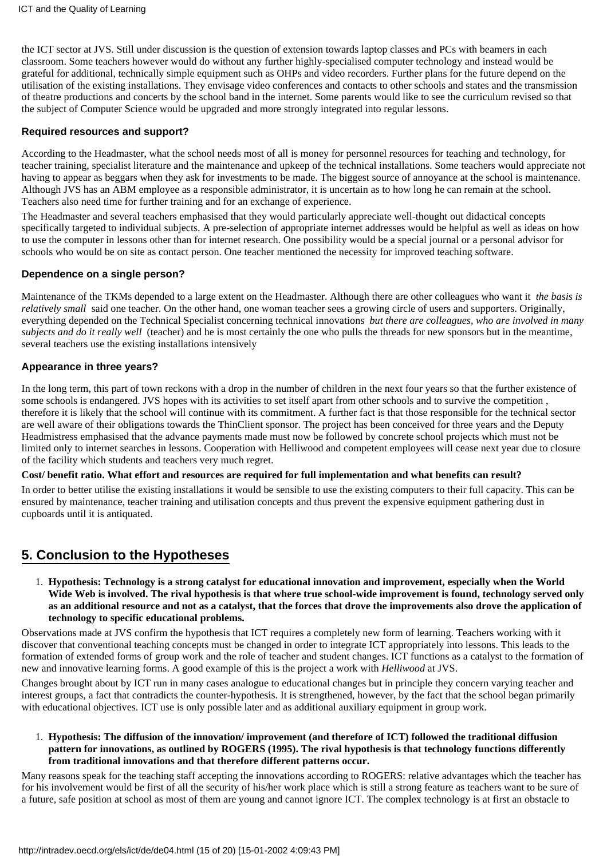the ICT sector at JVS. Still under discussion is the question of extension towards laptop classes and PCs with beamers in each classroom. Some teachers however would do without any further highly-specialised computer technology and instead would be grateful for additional, technically simple equipment such as OHPs and video recorders. Further plans for the future depend on the utilisation of the existing installations. They envisage video conferences and contacts to other schools and states and the transmission of theatre productions and concerts by the school band in the internet. Some parents would like to see the curriculum revised so that the subject of Computer Science would be upgraded and more strongly integrated into regular lessons.

#### <span id="page-14-0"></span>**Required resources and support?**

According to the Headmaster, what the school needs most of all is money for personnel resources for teaching and technology, for teacher training, specialist literature and the maintenance and upkeep of the technical installations. Some teachers would appreciate not having to appear as beggars when they ask for investments to be made. The biggest source of annoyance at the school is maintenance. Although JVS has an ABM employee as a responsible administrator, it is uncertain as to how long he can remain at the school. Teachers also need time for further training and for an exchange of experience.

The Headmaster and several teachers emphasised that they would particularly appreciate well-thought out didactical concepts specifically targeted to individual subjects. A pre-selection of appropriate internet addresses would be helpful as well as ideas on how to use the computer in lessons other than for internet research. One possibility would be a special journal or a personal advisor for schools who would be on site as contact person. One teacher mentioned the necessity for improved teaching software.

#### <span id="page-14-1"></span>**Dependence on a single person?**

Maintenance of the TKMs depended to a large extent on the Headmaster. Although there are other colleagues who want it *the basis is relatively small* said one teacher. On the other hand, one woman teacher sees a growing circle of users and supporters. Originally, everything depended on the Technical Specialist concerning technical innovations *but there are colleagues, who are involved in many subjects and do it really well* (teacher) and he is most certainly the one who pulls the threads for new sponsors but in the meantime, several teachers use the existing installations intensively

#### <span id="page-14-2"></span>**Appearance in three years?**

In the long term, this part of town reckons with a drop in the number of children in the next four years so that the further existence of some schools is endangered. JVS hopes with its activities to set itself apart from other schools and to survive the competition , therefore it is likely that the school will continue with its commitment. A further fact is that those responsible for the technical sector are well aware of their obligations towards the ThinClient sponsor. The project has been conceived for three years and the Deputy Headmistress emphasised that the advance payments made must now be followed by concrete school projects which must not be limited only to internet searches in lessons. Cooperation with Helliwood and competent employees will cease next year due to closure of the facility which students and teachers very much regret.

#### **Cost/ benefit ratio. What effort and resources are required for full implementation and what benefits can result?**

In order to better utilise the existing installations it would be sensible to use the existing computers to their full capacity. This can be ensured by maintenance, teacher training and utilisation concepts and thus prevent the expensive equipment gathering dust in cupboards until it is antiquated.

# <span id="page-14-3"></span>**5. Conclusion to the Hypotheses**

**Hypothesis: Technology is a strong catalyst for educational innovation and improvement, especially when the World** 1. **Wide Web is involved. The rival hypothesis is that where true school-wide improvement is found, technology served only as an additional resource and not as a catalyst, that the forces that drove the improvements also drove the application of technology to specific educational problems.**

Observations made at JVS confirm the hypothesis that ICT requires a completely new form of learning. Teachers working with it discover that conventional teaching concepts must be changed in order to integrate ICT appropriately into lessons. This leads to the formation of extended forms of group work and the role of teacher and student changes. ICT functions as a catalyst to the formation of new and innovative learning forms. A good example of this is the project a work with *Helliwood* at JVS.

Changes brought about by ICT run in many cases analogue to educational changes but in principle they concern varying teacher and interest groups, a fact that contradicts the counter-hypothesis. It is strengthened, however, by the fact that the school began primarily with educational objectives. ICT use is only possible later and as additional auxiliary equipment in group work.

#### **Hypothesis: The diffusion of the innovation/ improvement (and therefore of ICT) followed the traditional diffusion** 1. **pattern for innovations, as outlined by ROGERS (1995). The rival hypothesis is that technology functions differently from traditional innovations and that therefore different patterns occur.**

Many reasons speak for the teaching staff accepting the innovations according to ROGERS: relative advantages which the teacher has for his involvement would be first of all the security of his/her work place which is still a strong feature as teachers want to be sure of a future, safe position at school as most of them are young and cannot ignore ICT. The complex technology is at first an obstacle to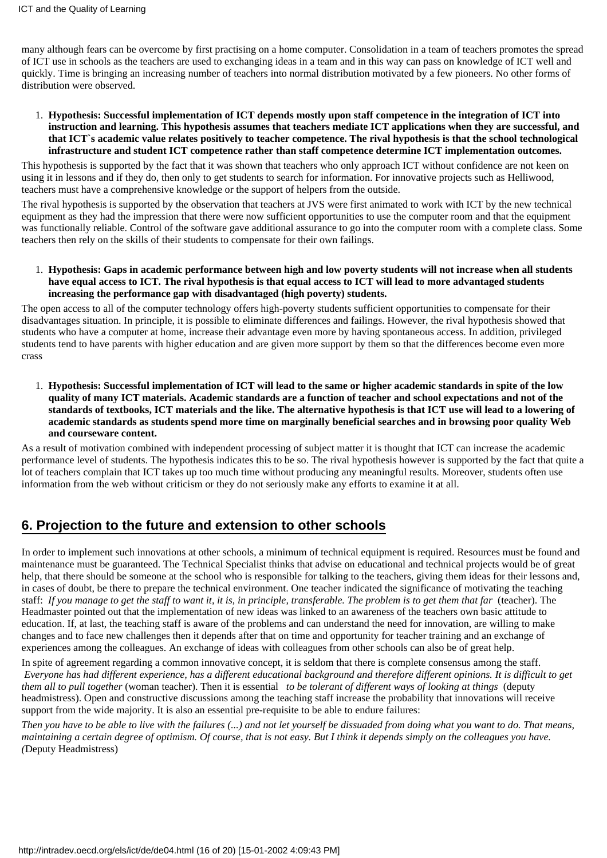many although fears can be overcome by first practising on a home computer. Consolidation in a team of teachers promotes the spread of ICT use in schools as the teachers are used to exchanging ideas in a team and in this way can pass on knowledge of ICT well and quickly. Time is bringing an increasing number of teachers into normal distribution motivated by a few pioneers. No other forms of distribution were observed.

**Hypothesis: Successful implementation of ICT depends mostly upon staff competence in the integration of ICT into** 1. **instruction and learning. This hypothesis assumes that teachers mediate ICT applications when they are successful, and that ICT`s academic value relates positively to teacher competence. The rival hypothesis is that the school technological infrastructure and student ICT competence rather than staff competence determine ICT implementation outcomes.**

This hypothesis is supported by the fact that it was shown that teachers who only approach ICT without confidence are not keen on using it in lessons and if they do, then only to get students to search for information. For innovative projects such as Helliwood, teachers must have a comprehensive knowledge or the support of helpers from the outside.

The rival hypothesis is supported by the observation that teachers at JVS were first animated to work with ICT by the new technical equipment as they had the impression that there were now sufficient opportunities to use the computer room and that the equipment was functionally reliable. Control of the software gave additional assurance to go into the computer room with a complete class. Some teachers then rely on the skills of their students to compensate for their own failings.

**Hypothesis: Gaps in academic performance between high and low poverty students will not increase when all students** 1. **have equal access to ICT. The rival hypothesis is that equal access to ICT will lead to more advantaged students increasing the performance gap with disadvantaged (high poverty) students.**

The open access to all of the computer technology offers high-poverty students sufficient opportunities to compensate for their disadvantages situation. In principle, it is possible to eliminate differences and failings. However, the rival hypothesis showed that students who have a computer at home, increase their advantage even more by having spontaneous access. In addition, privileged students tend to have parents with higher education and are given more support by them so that the differences become even more crass

**Hypothesis: Successful implementation of ICT will lead to the same or higher academic standards in spite of the low** 1. **quality of many ICT materials. Academic standards are a function of teacher and school expectations and not of the standards of textbooks, ICT materials and the like. The alternative hypothesis is that ICT use will lead to a lowering of academic standards as students spend more time on marginally beneficial searches and in browsing poor quality Web and courseware content.**

As a result of motivation combined with independent processing of subject matter it is thought that ICT can increase the academic performance level of students. The hypothesis indicates this to be so. The rival hypothesis however is supported by the fact that quite a lot of teachers complain that ICT takes up too much time without producing any meaningful results. Moreover, students often use information from the web without criticism or they do not seriously make any efforts to examine it at all.

# <span id="page-15-0"></span>**6. Projection to the future and extension to other schools**

In order to implement such innovations at other schools, a minimum of technical equipment is required. Resources must be found and maintenance must be guaranteed. The Technical Specialist thinks that advise on educational and technical projects would be of great help, that there should be someone at the school who is responsible for talking to the teachers, giving them ideas for their lessons and, in cases of doubt, be there to prepare the technical environment. One teacher indicated the significance of motivating the teaching staff: *If you manage to get the staff to want it, it is, in principle, transferable. The problem is to get them that far* (teacher). The Headmaster pointed out that the implementation of new ideas was linked to an awareness of the teachers own basic attitude to education. If, at last, the teaching staff is aware of the problems and can understand the need for innovation, are willing to make changes and to face new challenges then it depends after that on time and opportunity for teacher training and an exchange of experiences among the colleagues. An exchange of ideas with colleagues from other schools can also be of great help.

In spite of agreement regarding a common innovative concept, it is seldom that there is complete consensus among the staff. *Everyone has had different experience, has a different educational background and therefore different opinions. It is difficult to get them all to pull together* (woman teacher). Then it is essential *to be tolerant of different ways of looking at things* (deputy headmistress). Open and constructive discussions among the teaching staff increase the probability that innovations will receive support from the wide majority. It is also an essential pre-requisite to be able to endure failures:

*Then you have to be able to live with the failures (...) and not let yourself be dissuaded from doing what you want to do. That means, maintaining a certain degree of optimism. Of course, that is not easy. But I think it depends simply on the colleagues you have. (*Deputy Headmistress)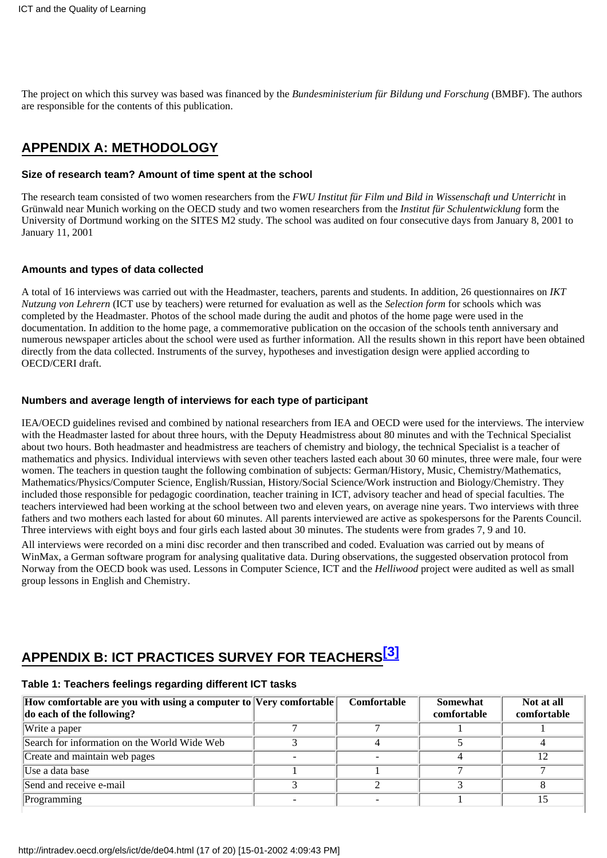The project on which this survey was based was financed by the *Bundesministerium für Bildung und Forschung* (BMBF). The authors are responsible for the contents of this publication.

# <span id="page-16-0"></span>**APPENDIX A: METHODOLOGY**

#### <span id="page-16-1"></span>**Size of research team? Amount of time spent at the school**

The research team consisted of two women researchers from the *FWU Institut für Film und Bild in Wissenschaft und Unterricht* in Grünwald near Munich working on the OECD study and two women researchers from the *Institut für Schulentwicklung* form the University of Dortmund working on the SITES M2 study. The school was audited on four consecutive days from January 8, 2001 to January 11, 2001

#### <span id="page-16-2"></span>**Amounts and types of data collected**

A total of 16 interviews was carried out with the Headmaster, teachers, parents and students. In addition, 26 questionnaires on *IKT Nutzung von Lehrern* (ICT use by teachers) were returned for evaluation as well as the *Selection form* for schools which was completed by the Headmaster. Photos of the school made during the audit and photos of the home page were used in the documentation. In addition to the home page, a commemorative publication on the occasion of the school s tenth anniversary and numerous newspaper articles about the school were used as further information. All the results shown in this report have been obtained directly from the data collected. Instruments of the survey, hypotheses and investigation design were applied according to OECD/CERI draft.

#### <span id="page-16-3"></span>**Numbers and average length of interviews for each type of participant**

IEA/OECD guidelines revised and combined by national researchers from IEA and OECD were used for the interviews. The interview with the Headmaster lasted for about three hours, with the Deputy Headmistress about 80 minutes and with the Technical Specialist about two hours. Both headmaster and headmistress are teachers of chemistry and biology, the technical Specialist is a teacher of mathematics and physics. Individual interviews with seven other teachers lasted each about 30 60 minutes, three were male, four were women. The teachers in question taught the following combination of subjects: German/History, Music, Chemistry/Mathematics, Mathematics/Physics/Computer Science, English/Russian, History/Social Science/Work instruction and Biology/Chemistry. They included those responsible for pedagogic coordination, teacher training in ICT, advisory teacher and head of special faculties. The teachers interviewed had been working at the school between two and eleven years, on average nine years. Two interviews with three fathers and two mothers each lasted for about 60 minutes. All parents interviewed are active as spokespersons for the Parents Council. Three interviews with eight boys and four girls each lasted about 30 minutes. The students were from grades 7, 9 and 10.

All interviews were recorded on a mini disc recorder and then transcribed and coded. Evaluation was carried out by means of WinMax, a German software program for analysing qualitative data. During observations, the suggested observation protocol from Norway from the OECD book was used. Lessons in Computer Science, ICT and the *Helliwood* project were audited as well as small group lessons in English and Chemistry.

# <span id="page-16-4"></span>**APPENDIX B: ICT PRACTICES SURVEY FOR TEACHER[S\[3\]](#page-19-5)**

# **Table 1: Teachers feelings regarding different ICT tasks**

| How comfortable are you with using a computer to Very comfortable | Comfortable | Somewhat    | Not at all  |
|-------------------------------------------------------------------|-------------|-------------|-------------|
| do each of the following?                                         |             | comfortable | comfortable |
| Write a paper                                                     |             |             |             |
| Search for information on the World Wide Web                      |             |             |             |
| Create and maintain web pages                                     |             |             |             |
| IUse a data base                                                  |             |             |             |
| Send and receive e-mail                                           |             |             |             |
| Programming                                                       |             |             |             |
|                                                                   |             |             |             |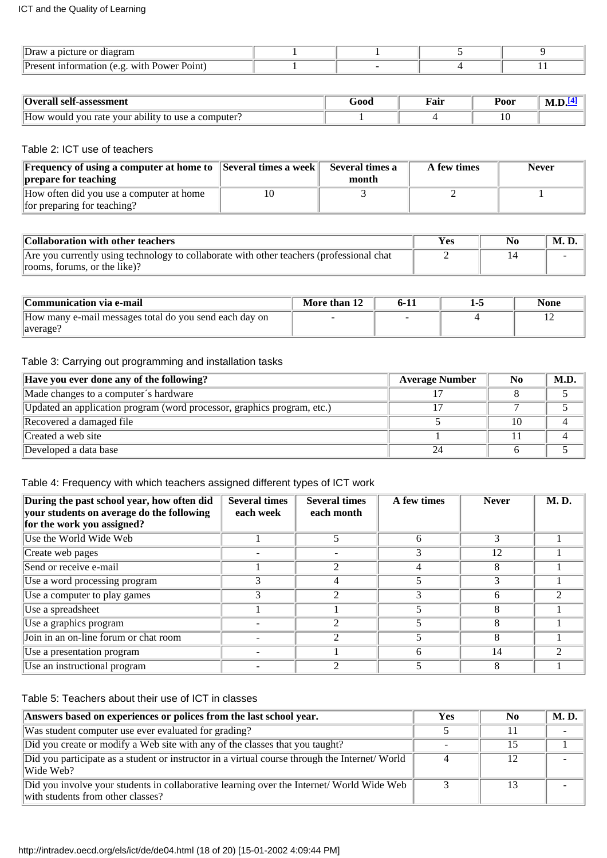| Draw<br>a picture or diagram                                   |  |  |
|----------------------------------------------------------------|--|--|
| . with Power .<br>: Point)<br>.ormation (e.g.<br>$Pr_{\theta}$ |  |  |

<span id="page-17-0"></span>

| l self-assessment<br><b>Overall</b>                                              | 500t | $\overline{\phantom{a}}$<br>Fair | Poor |  |
|----------------------------------------------------------------------------------|------|----------------------------------|------|--|
| $\cdots$<br>How<br>computer.<br>would<br>ability :<br>you rate<br>vour<br>to use |      |                                  | 10   |  |

#### Table 2: ICT use of teachers

| <b>Frequency of using a computer at home to Several times a week</b> | Several times a | A few times | <b>Never</b> |
|----------------------------------------------------------------------|-----------------|-------------|--------------|
| prepare for teaching                                                 | month           |             |              |
| How often did you use a computer at home                             |                 |             |              |
| for preparing for teaching?                                          |                 |             |              |

| Collaboration with other teachers                                                        | Yes | M. D. |
|------------------------------------------------------------------------------------------|-----|-------|
| Are you currently using technology to collaborate with other teachers (professional chat |     |       |
| rooms, forums, or the like)?                                                             |     |       |

| Communication via e-mail                               | More than 12 | $6-1.$ | None |
|--------------------------------------------------------|--------------|--------|------|
| How many e-mail messages total do you send each day on |              |        |      |
| laverage?                                              |              |        |      |

#### Table 3: Carrying out programming and installation tasks

| Have you ever done any of the following?                                | <b>Average Number</b> | $\bf No$ | M.D. |
|-------------------------------------------------------------------------|-----------------------|----------|------|
| Made changes to a computer's hardware                                   |                       |          |      |
| Updated an application program (word processor, graphics program, etc.) |                       |          |      |
| Recovered a damaged file                                                |                       | 10       |      |
| Created a web site                                                      |                       |          |      |
| Developed a data base                                                   |                       |          |      |

### Table 4: Frequency with which teachers assigned different types of ICT work

| During the past school year, how often did<br>your students on average do the following<br>for the work you assigned? | <b>Several times</b><br>each week | <b>Several times</b><br>each month | A few times | <b>Never</b> | <b>M.D.</b> |
|-----------------------------------------------------------------------------------------------------------------------|-----------------------------------|------------------------------------|-------------|--------------|-------------|
| Use the World Wide Web                                                                                                |                                   |                                    | 6           |              |             |
| Create web pages                                                                                                      |                                   |                                    |             | 12           |             |
| Send or receive e-mail                                                                                                |                                   | っ                                  | 4           |              |             |
| Use a word processing program                                                                                         |                                   |                                    |             |              |             |
| Use a computer to play games                                                                                          |                                   | $\mathfrak{D}$                     | 3           |              |             |
| Use a spreadsheet                                                                                                     |                                   |                                    |             | A            |             |
| Use a graphics program                                                                                                |                                   |                                    |             |              |             |
| Join in an on-line forum or chat room                                                                                 |                                   | $\mathcal{D}$                      |             | A            |             |
| Use a presentation program                                                                                            |                                   |                                    | h           | 14           |             |
| Use an instructional program                                                                                          |                                   | ⌒                                  |             |              |             |

Table 5: Teachers about their use of ICT in classes

| Answers based on experiences or polices from the last school year.                                                             |  | No. | <b>M.D.</b> |
|--------------------------------------------------------------------------------------------------------------------------------|--|-----|-------------|
| Was student computer use ever evaluated for grading?                                                                           |  |     |             |
| Did you create or modify a Web site with any of the classes that you taught?                                                   |  |     |             |
| Did you participate as a student or instructor in a virtual course through the Internet/World<br>Wide Web?                     |  | 12  |             |
| Did you involve your students in collaborative learning over the Internet/ World Wide Web<br>with students from other classes? |  |     |             |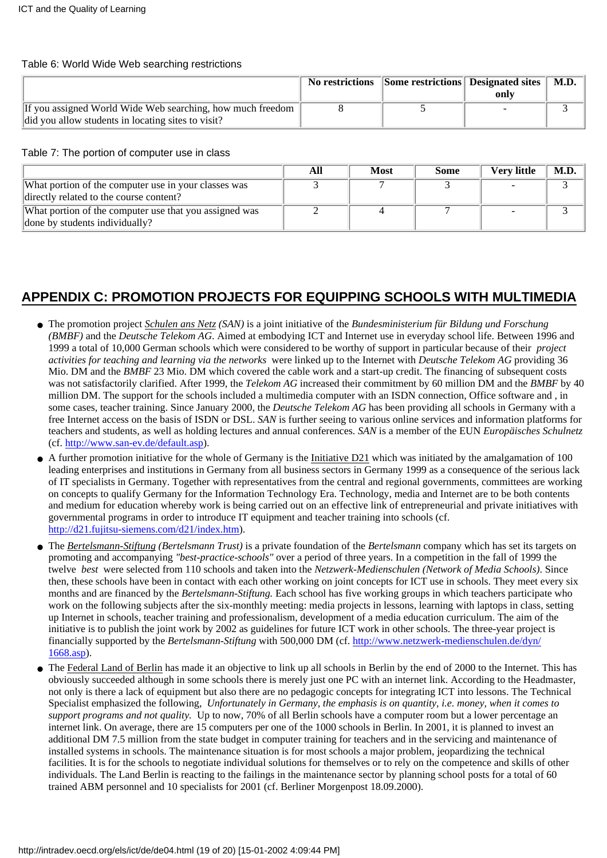#### Table 6: World Wide Web searching restrictions

|                                                                                                                    | No restrictions Some restrictions Designated sites   M.D. | only |  |
|--------------------------------------------------------------------------------------------------------------------|-----------------------------------------------------------|------|--|
| If you assigned World Wide Web searching, how much freedom  <br>did you allow students in locating sites to visit? |                                                           |      |  |

Table 7: The portion of computer use in class

|                                                                                                 | AIJ | <b>Most</b> | <b>Some</b> | Verv little | M.D |
|-------------------------------------------------------------------------------------------------|-----|-------------|-------------|-------------|-----|
| What portion of the computer use in your classes was<br>directly related to the course content? |     |             |             |             |     |
| What portion of the computer use that you assigned was<br>done by students individually?        |     |             |             |             |     |

# <span id="page-18-0"></span>**APPENDIX C: PROMOTION PROJECTS FOR EQUIPPING SCHOOLS WITH MULTIMEDIA**

- The promotion project *Schulen ans Netz* (SAN) is a joint initiative of the *Bundesministerium für Bildung und Forschung (BMBF)* and the *Deutsche Telekom AG*. Aimed at embodying ICT and Internet use in everyday school life. Between 1996 and 1999 a total of 10,000 German schools which were considered to be worthy of support in particular because of their *project activities for teaching and learning via the networks* were linked up to the Internet with *Deutsche Telekom AG* providing 36 Mio. DM and the *BMBF* 23 Mio. DM which covered the cable work and a start-up credit. The financing of subsequent costs was not satisfactorily clarified. After 1999, the *Telekom AG* increased their commitment by 60 million DM and the *BMBF* by 40 million DM. The support for the schools included a multimedia computer with an ISDN connection, Office software and , in some cases, teacher training. Since January 2000, the *Deutsche Telekom AG* has been providing all schools in Germany with a free Internet access on the basis of ISDN or DSL. *SAN* is further seeing to various online services and information platforms for teachers and students, as well as holding lectures and annual conferences. *SAN* is a member of the EUN *Europäisches Schulnetz* (cf. http://www.san-ev.de/default.asp).
- A further promotion initiative for the whole of Germany is the Initiative D21 which was initiated by the amalgamation of 100 leading enterprises and institutions in Germany from all business sectors in Germany 1999 as a consequence of the serious lack of IT specialists in Germany. Together with representatives from the central and regional governments, committees are working on concepts to qualify Germany for the Information Technology Era. Technology, media and Internet are to be both contents and medium for education whereby work is being carried out on an effective link of entrepreneurial and private initiatives with governmental programs in order to introduce IT equipment and teacher training into schools (cf. [http://d21.fujitsu-siemens.com/d21/index.htm\)](http://d21.fujitsu-siemens.com/d21/index.htm).
- The *Bertelsmann-Stiftung (Bertelsmann Trust)* is a private foundation of the *Bertelsmann* company which has set its targets on promoting and accompanying *"best-practice-schools"* over a period of three years. In a competition in the fall of 1999 the twelve *best* were selected from 110 schools and taken into the *Netzwerk-Medienschulen (Network of Media Schools)*. Since then, these schools have been in contact with each other working on joint concepts for ICT use in schools. They meet every six months and are financed by the *Bertelsmann-Stiftung.* Each school has five working groups in which teachers participate who work on the following subjects after the six-monthly meeting: media projects in lessons, learning with laptops in class, setting up Internet in schools, teacher training and professionalism, development of a media education curriculum. The aim of the initiative is to publish the joint work by 2002 as guidelines for future ICT work in other schools. The three-year project is financially supported by the *Bertelsmann-Stiftung* with 500,000 DM (cf. http://www.netzwerk-medienschulen.de/dyn/ 1668.asp).
- The Federal Land of Berlin has made it an objective to link up all schools in Berlin by the end of 2000 to the Internet. This has obviously succeeded although in some schools there is merely just one PC with an internet link. According to the Headmaster, not only is there a lack of equipment but also there are no pedagogic concepts for integrating ICT into lessons. The Technical Specialist emphasized the following, *Unfortunately in Germany, the emphasis is on quantity, i.e. money, when it comes to support programs and not quality.* Up to now, 70% of all Berlin schools have a computer room but a lower percentage an internet link. On average, there are 15 computers per one of the 1000 schools in Berlin. In 2001, it is planned to invest an additional DM 7.5 million from the state budget in computer training for teachers and in the servicing and maintenance of installed systems in schools. The maintenance situation is for most schools a major problem, jeopardizing the technical facilities. It is for the schools to negotiate individual solutions for themselves or to rely on the competence and skills of other individuals. The Land Berlin is reacting to the failings in the maintenance sector by planning school posts for a total of 60 trained ABM personnel and 10 specialists for 2001 (cf. Berliner Morgenpost 18.09.2000).